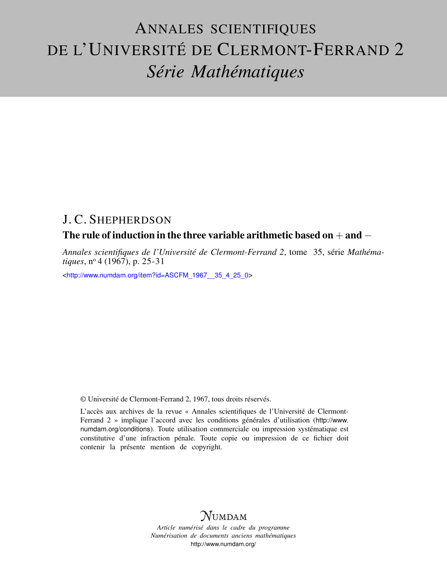# ANNALES SCIENTIFIQUES DE L'UNIVERSITÉ DE CLERMONT-FERRAND 2 *Série Mathématiques*

## J. C. SHEPHERDSON

### The rule of induction in the three variable arithmetic based on  $+$  and  $-$

*Annales scientifiques de l'Université de Clermont-Ferrand 2*, tome 35, série *Mathématiques*, n<sup>o</sup> 4 (1967), p. 25-31

<[http://www.numdam.org/item?id=ASCFM\\_1967\\_\\_35\\_4\\_25\\_0](http://www.numdam.org/item?id=ASCFM_1967__35_4_25_0)>

© Université de Clermont-Ferrand 2, 1967, tous droits réservés.

L'accès aux archives de la revue « Annales scientifiques de l'Université de Clermont-Ferrand 2 » implique l'accord avec les conditions générales d'utilisation ([http://www.](http://www.numdam.org/conditions) [numdam.org/conditions](http://www.numdam.org/conditions)). Toute utilisation commerciale ou impression systématique est constitutive d'une infraction pénale. Toute copie ou impression de ce fichier doit contenir la présente mention de copyright.

# $N$ UMDAM

*Article numérisé dans le cadre du programme Numérisation de documents anciens mathématiques* <http://www.numdam.org/>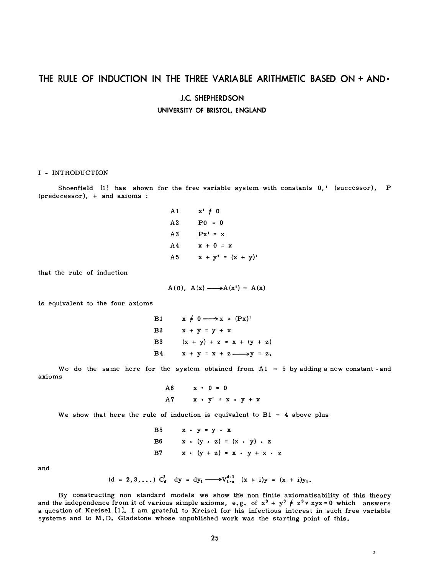### THE RULE OF INDUCTION IN THE THREE VARIABLE ARITHMETIC BASED ON + AND.

J.C. SHEPHERDSON

UNIVERSITY OF BRISTOL, ENGLAND

#### I - INTRODUCTION

Shoenfield  $[1]$  has shown for the free variable system with constants  $0,'$  (successor), P (predecessor), + and axioms :

A1 
$$
x' \neq 0
$$
  
\nA2  $P0 = 0$   
\nA3  $Px' = x$   
\nA4  $x + 0 = x$   
\nA5  $x + y' = (x + y)'$ 

that the rule of induction

 $A(0), A(x) \longrightarrow A(x') - A(x)$ 

is equivalent to the four axioms

 $x \neq 0 \longrightarrow x = (Px)^{t}$  $B1$  $B2$  $x + y = y + x$  $(x + y) + z = x + (y + z)$  $B3$  $x + y = x + z \longrightarrow y = z$ .  $B<sub>4</sub>$ 

Wo do the same here for the system obtained from  $A1 - 5$  by adding a new constant  $\cdot$  and axioms

A6 
$$
x \cdot 0 = 0
$$
  
A7  $x \cdot y' = x \cdot y + x$ 

We show that here the rule of induction is equivalent to  $B1 - 4$  above plus

| B5 | $x \cdot y = y \cdot x$                     |
|----|---------------------------------------------|
| B6 | $x \cdot (y \cdot z) = (x \cdot y) \cdot z$ |
| B7 | $x \cdot (y + z) = x \cdot y + x \cdot z$   |

and

$$
(d = 2, 3, ...)
$$
 C<sub>d</sub><sup>d</sup> dy = dy<sub>1</sub>  $\longrightarrow V_{1=0}^{d-1}$  (x + i)y = (x + i)y<sub>1</sub>.

By constructing non standard models we show the non finite axiomatisability of this theory and the independence from it of various simple axioms, e.g. of  $x^3 + y^3 \neq z^3$  v xyz = 0 which answers a question of Kreisel [1 1. I am grateful to Kreisel for his infectious interest in such free variable systems and to M.D. Gladstone whose unpublished work was the starting point of this.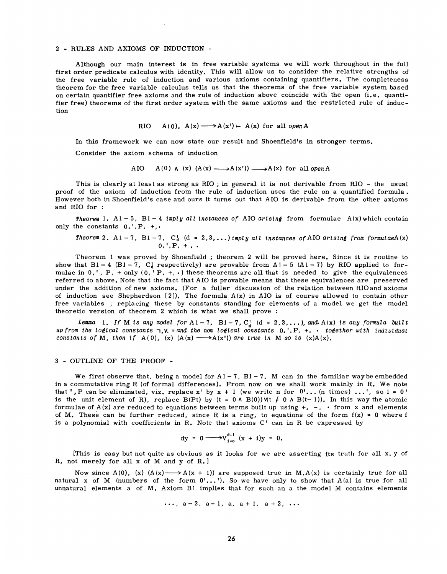#### 2 - RULES AND AXIOMS OF INDUCTION -

Although our main interest is in free variable systems we will work throughout in the full first order predicate calculus with identity. This will allow us to consider the relative strengths of the free variable rule of induction and various axioms containing quantifiers. The completeness theorem for the free variable calculus tells us that the theorems of the free variable system based on certain quantifier free axioms and the rule of induction above coincide with the open (i, e, quantifier free) theorems of the first order system with the same axioms and the restricted rule of induction

RIO A(0), 
$$
A(x) \longrightarrow A(x') \longmapsto A(x)
$$
 for all open A

In this framework we can now state our result and Shoenfield's in stronger terms.

Consider the axiom schema of induction

**AIO**  $A(0)$   $\wedge$  (x)  $(A(x) \longrightarrow A(x')) \longrightarrow A(x)$  for all open A

This is clearly at least as strong as RIO ; in general it is not derivable from RIO - the usual proof of the axiom of induction from the rule of induction uses the rule on a quantified formula . However both in Shoenfield's case and ours it turns out that AIO is derivable from the other axioms and RIO for :

**Theorem 1.** A1-5, B1-4 imply all instances of AIO arising from formulae  $A(x)$  which contain only the constants  $0,'',P',+,$ .

Theorem 2. A 1- 7, B1- 7, C Id (d = 2, 3, ... ) impl y all 1instances of AIO ari s i nt from formul aeA (x) 0,', P, + , .

Theorem 1 was proved by Shoenfield ; theorem 2 will be proved here. Since it is routine to show that  $B1 - 4$  (B1-7, C<sub>d</sub> respectively) are provable from  $A1 - 5$  (A1-7) by RIO applied to formulae in 0,', P, + only  $(0, 'P, +, \cdot)$  these theorems are all that is needed to give the equivalences referred to above. Note that the fact that AIO is provable means that these equivalences are preserved under the addition of new axioms. (For a fuller discussion of the relation between RIO and axioms of induction see Shepherdson  $[2]$ ). The formula  $A(x)$  in AIO is of course allowed to contain other free variables ; replacing these by constants standing for elements of a model we get the model theoretic version of theorem 2 which is what we shall prove :

Lemma 1. If M is any model for A1-7, B1-7, C<sub>a</sub> (d = 2,3,...), and A(x) is any formula built up from the lof tcal constants -1, V, = and the non logical constants 0,', P, +, · to~ether with indi utdual constants of M, then if A(0), (x)  $(A(x) \rightarrow A(x'))$  are true in M so is  $(x)A(x)$ .

#### 3 - OUTLINE OF THE PROOF -

We first observe that, being a model for  $A1 - 7$ ,  $B1 - 7$ , M can in the familiar way be embedded in a commutative ring R (of formal differences). From now on we shall work mainly in R. We note that ', P can be eliminated, viz. replace x' by  $x + 1$  (we write n for  $0'.$ ... (n times) ...', so  $1 = 0'$ is the unit element of R), replace  $B(Pt)$  by  $(t = 0 \land B(0)) \lor (t \neq 0 \land B(t-1))$ . In this way the atomic formulae of  $A(x)$  are reduced to equations between terms built up using  $+$ ,  $-$ ,  $\cdot$  from x and elements of M. These can be further reduced, since R is a ring, to equations of the form  $f(x) = 0$  where f is a polynomial with coefficients in R. Note that axioms  $C'$  can in R be expressed by

$$
dy = 0 \longrightarrow V_{i=0}^{d-1} (x + i)y = 0.
$$

[This is easy but not quite as obvious as it looks for we are asserting its truth for all x, y of R, not merely for all x of M and y of R. I

Now since A(0), (x)  $(A(x) \rightarrow A(x + 1))$  are supposed true in M, A(x) is certainly true for all natural x of M (numbers of the form  $0'.'.'.$ ). So we have only to show that  $A(a)$  is true for all unnatural elements a of M. Axiom Bl implies that for such an a the model M contains elements

$$
\cdots, a-2, a-1, a, a+1, a+2, \cdots
$$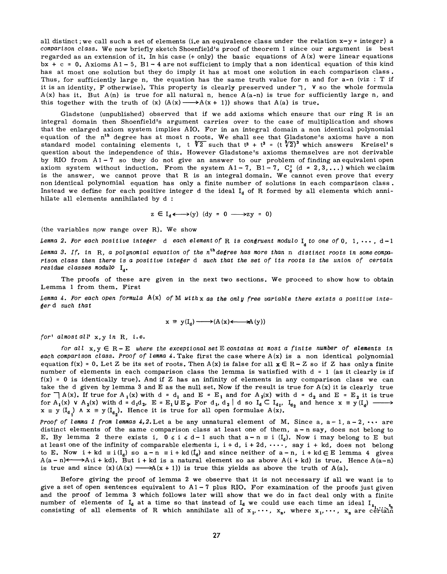all distinct; we call such a set of elements (i.e an equivalence class under the relation  $x-y =$  integer) a comparison class. We now briefly sketch Shoenfield's proof of theorem 1 since our argument is best regarded as an extension of it. In his case  $(+)$  only) the basic equations of  $A(x)$  were linear equations bx + c = 0. Axioms  $A1 - 5$ ,  $B1 - 4$  are not sufficient to imply that a non identical equation of this kind has at most one solution but they do imply it has at most one solution in each comparison class. Thus, for sufficiently large n, the equation has the same truth value for n and for a-n (viz : T if it is an identity, F otherwise). This property is clearly preserved under  $\sqcap$ , V so the whole formula  $A(x)$  has it. But  $A(n)$  is true for all natural n, hence  $A(a-n)$  is true for sufficiently large n, and this together with the truth of  $(x)$   $(A(x) \longrightarrow A(x + 1))$  shows that  $A(a)$  is true.

Gladstone (unpublished) observed that if we add axioms which ensure that our ring R is an integral domain then Shoenfield's argument carries over to the case of multiplication and shows that the enlarged axiom system implies AIO. For in an integral domain a non identical polynomial equation of the nth degree has at most n roots. We shall see that Gladstone's axioms have a non standard model containing elements t, t  $\sqrt[3]{2}$  such that  $t^3 + t^3 = (t \sqrt[3]{2})^3$  which answers Kreisel's question about the independence of this. However Gladstone's axioms themselves are not derivable by RIO from  $A1 - 7$  so they do not give an answer to our problem of finding an equivalent open axiom system without induction. From the system  $A1 - 7$ ,  $B1 - 7$ ,  $C_d$  (d = 2, 3, ...) which we claim is the answer, we cannot prove that R is an integral domain. We cannot even prove that every non identical polynomial equation has only a finite number of solutions in each comparison class . Instead we define for each positive integer d the ideal  $I_d$  of R formed by all elements which annihilate all elements annihilated by d :

$$
z \in I_d \longleftrightarrow (y) \quad (dy = 0 \longrightarrow zy = 0)
$$

(the variables now range over R). We show

Lemma 2. For each positive integer d each element of R is congruent modulo  $I_{\mathfrak{g}}$  to one of 0, 1,  $\cdots$ , d-1 Lemma 3. If, in R, a polynomial equation of the  $n^{\text{th}}$  degree has more than  $n$  distinct roots in some comparison class then there is a positive integer d such that the set of its roots is the union of certain residue classes modulo  $I_{.}.$ 

The proofs of these are given in the next two sections. We proceed to show how to obtain Lemma 1 from them. First

Lemma 4. For each open formula  $A(x)$  of M with x as the only free variable there exists a positive integer d such that

$$
x \equiv y(I_{d}) \longrightarrow (A(x) \longleftarrow A(y))
$$

for' almost all'  $x, y$  in R, i.e.

for all  $x, y \in R - E$  where the exceptional set E contains at most a finite number of elements in each comparison class. Proof of lemma 4. Take first the case where  $A(x)$  is a non identical polynomial equation  $f(x) = 0$ . Let Z be its set of roots. Then  $A(x)$  is false for all  $x \in R - Z$  so if Z has only a finite number of elements in each comparison class the lemma is satisfied with  $d = 1$  (as it clearly is if  $f(x) = 0$  is identically true). And if Z has an infinity of elements in any comparison class we can take the d given by lemma 3 and E as the null set. Now if the result is true for  $A(x)$  it is clearly true for  $\bigcap A(x)$ . If true for  $A_1(x)$  with d = d<sub>1</sub> and E = E<sub>1</sub> and for  $A_2(x)$  with d = d<sub>2</sub> and E = E<sub>2</sub> it is true for  $\neg A(x)$ . If true for  $A_1(x)$  with  $d = d_1$  and  $E = E_1$  and for  $A_2(x)$  with  $d = d_2$  and  $E = E_2$  it is true<br>for  $A_1(x)$   $\vee$   $A_2(x)$  with  $d = d_1d_2$ ,  $E = E_1 \cup E_2$ . For  $d_1$ ,  $d_2 \mid d$  so  $I_d \subset I_{d_1}$ ,  $I_{d_2}$  and henc  $x \equiv y (I_{d_1}) \wedge x \equiv y (I_{d_2}).$  Hence it is true for all open formulae  $A(x)$ .

Proof of lemma 1 from lemmas  $4,2$ . Let a be any unnatural element of M. Since a,  $a-1$ ,  $a-2$ ,  $\cdots$  are distinct elements of the same comparison class at least one of them, a-n say, does not belong to E. By lemma 2 there exists i,  $0 \le i \le d - 1$  such that  $a - n \equiv i (I_d)$ . Now i may belong to E but at least one of the infinity of comparable elements i,  $i + d$ ,  $i + 2d$ , ..., say  $i + kd$ , does not belong to E. Now  $i + kd \equiv i(I_d)$  so  $a - n \equiv i + kd(I_d)$  and since neither of  $a - n$ ,  $i + kd \in E$  lemma 4 gives  $A(a - n) \leftarrow \rightarrow A(i + kd)$ . But i + kd is a natural element so as above  $A(i + kd)$  is true. Hence  $A(a - n)$ is true and since  $(x)$   $(A(x) \longrightarrow A(x + 1))$  is true this yields as above the truth of  $A(a)$ .

Before giving the proof of lemma 2 we observe that it is not necessary if all we want is to give a set of open sentences equivalent to  $A1 - 7$  plus RIO. For examination of the proofs just given and the proof of lemma 3 which follows later will show that we do in fact deal only with a finite number of elements of  $I_d$  at a time so that instead of  $I_d$  we could use each time an ideal  $I_x$ , consisting of all elements of R which annihilate all of  $x_1, \dots, x_n$ , where  $x_1, \dots, x_n$  are certain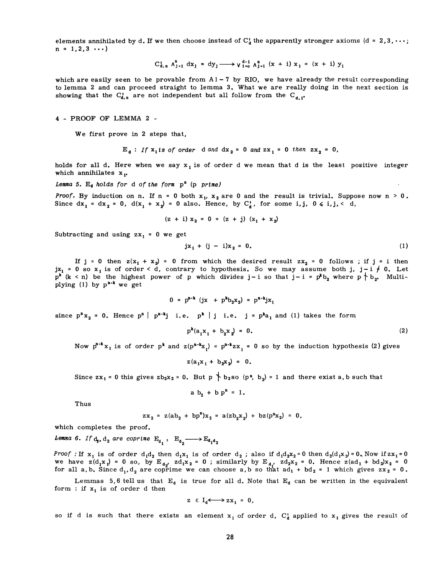elements annihilated by d. If we then choose instead of  $C_d$  the apparently stronger axioms (d = 2,3, ...;  $n = 1, 2, 3 \ldots$ 

$$
C_{d,n}^1 \wedge_{j=1}^n dx_j = dy_j \longrightarrow \vee_{i=0}^{d-1} \wedge_{j=1}^n (x + i) x_1 = (x + i) y_1
$$

which are easily seen to be provable from  $A1 - 7$  by RIO, we have already the result corresponding to lemma 2 and can proceed straight to lemma 3. What we are really doing in the next section is showing that the  $C_{d,n}$  are not independent but all follow from the  $C_{d,n}$ .

#### 4 - PROOF OF LEMMA 2 -

We first prove in 2 steps that,

$$
E_d: If x_1 is of order d and dx_2 = 0 and zx_1 = 0 then zx_2 = 0,
$$

holds for all d. Here when we say  $x_1$  is of order d we mean that d is the least positive integer which annihilates  $x_1$ .

Lemma 5.  $E_d$  holds for d of the form  $p^n$  (p prime)

**Proof.** By induction on n. If n = 0 both  $x_1$ ,  $x_2$  are 0 and the result is trivial. Suppose now n > 0. Since  $dx_1 = dx_2 = 0$ ,  $d(x_1 + x_2) = 0$  also. Hence, by  $C_d^1$ , for some i, j,  $0 \le i, j, \le d$ ,

$$
(z + i) x_2 = 0 = (z + j) (x_1 + x_2)
$$

Subtracting and using  $zx_1 = 0$  we get

$$
jx_1 + (j - i)x_2 = 0.
$$
 (1)

If  $j = 0$  then  $z(x_1 + x_2) = 0$  from which the desired result  $zx_2 = 0$  follows; if  $j = i$  then jx<sub>1</sub> = 0 so x<sub>1</sub> is of order < d, contrary to hypothesis. So we may assume both j, j-i  $\neq$  0. Let  $p^k$  (k < n) be the highest power of p which divides j-i so that j-i =  $p^k b_2$  where  $p \nmid b_2$ . Multiplying (1) by  $p^{n-k}$  we get

$$
0 = p^{n-k} (jx + p^{k}b_2x_2) = p^{n-k}jx
$$

since  $p^n x_2 = 0$ . Hence  $p^n | p^{n-k}$ j i.e.  $p^k | j$  i.e. j =  $p^k a_1$  and (1) takes the form

$$
p^{k}(a_{1}x_{1} + b_{2}x_{2}) = 0.
$$
 (2)

Now  $p^{n-k}x_1$  is of order  $p^k$  and  $z(p^{n-k}x_1) = p^{n-k}zx_1 = 0$  so by the induction hypothesis (2) gives

$$
z(a_1x_1 + b_2x_2) = 0.
$$

Since  $zx_1 = 0$  this gives  $zb_2x_2 = 0$ . But p  $\uparrow b_2$  so (p<sup>n</sup>, b<sub>2</sub>) = 1 and there exist a, b such that

$$
a b_2 + b pn = 1.
$$

Thus

$$
zx_2 = z(ab_2 + bp^n)x_2 = a(zb_2x_2) + bz(p^n x_2) = 0,
$$

which completes the proof.

Lemma 6. If  $d_1$ ,  $d_2$  are coprime  $E_{d_1}$ ,  $E_{d_2} \longrightarrow E_{d_1 d_2}$ 

Proof : If  $x_1$  is of order  $d_1d_2$  then  $d_1x_1$  is of order  $d_2$ ; also if  $d_1d_2x_2 = 0$  then  $d_2(d_1x_2) = 0$ . Now if  $zx_1 = 0$ we have  $z(d_1x_1) = 0$  so, by  $E_{d_2}$ ,  $zd_1x_2 = 0$ ; similarly by  $E_{d_1}$ ,  $zd_2x_2 = 0$ . Hence  $z(ad_1 + bd_2)x_2 = 0$ for all a, b. Since  $d_1, d_2$  are coprime we can choose a, b so that  $ad_1 + bd_2 = 1$  which gives  $zx_2 = 0$ .

Lemmas 5,6 tell us that  $E_d$  is true for all d. Note that  $E_d$  can be written in the equivalent form : if  $x_1$  is of order d then

$$
z \varepsilon I_d \longleftrightarrow zx_1 = 0,
$$

so if d is such that there exists an element  $x_1$  of order d,  $C_d$  applied to  $x_1$  gives the result of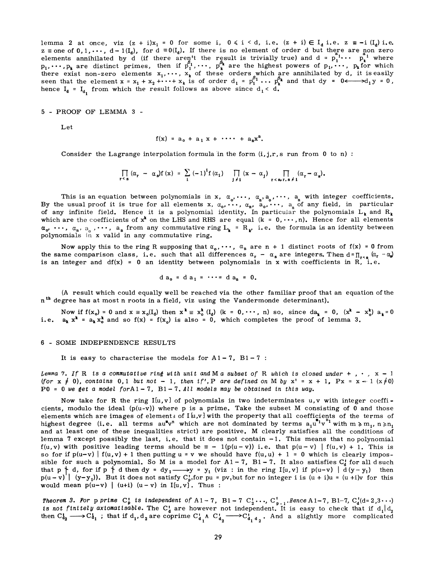lemma 2 at once, viz  $(z + i)x_1 = 0$  for some i,  $0 \le i \le d$ , i.e.  $(z + i) \in I_d$  i.e.  $z \equiv -i (I_d)$  i.e.  $z \equiv$  one of  $0, 1, \dots$ ,  $d - 1(I_d)$ , for  $d \equiv 0(I_d)$ . If there is no element of order d but there are non zero elements annihilated by d (if there aren't the result is trivially true) and d =  $p_1^{-1} \cdots p_k^{-1}$  where are distinct primes, then if  $p_1^{r_1}, \cdots, p_k^{r_k}$  are the highest powers of  $p_1, \cdots, p_k$  for which there exist non-zero elements  $x_1, \dots, x_k$  of these orders which are annihilated by d, it is easily seen that the element  $x = x_1 + x_2 + \dots + x_k$  is of order  $d_1 = p_1^{\beta_1} \dots p_k^{\beta_k}$  and that dy = 0 $\longleftarrow$   $d_1 y = 0$  , hence  $I_d = I_{d_1}$  from which the result follows as above since  $d_1 < d_2$ .

5 - PROOF OF LEMMA 3 -

Let

$$
f(x) = a_0 + a_1 x + \cdots + a_n x^n.
$$

Consider the Lagrange interpolation formula in the form  $(i, j, r, s$  run from 0 to n) :

$$
\prod_{r \leq s} (\alpha_r - \alpha_s) f(x) = \sum_i (-1)^i f(\alpha_i) \prod_{j \neq i} (x - \alpha_j) \prod_{r \leq s_r, r, s \neq i} (\alpha_r - \alpha_s).
$$

This is an equation between polynomials in x,  $\alpha_o, \cdots, \alpha_n, a_o, \cdots, a_n$  with integer coefficients. By the usual proof it is true for all elements x,  $\alpha_0, \cdots, \alpha_n$ ,  $a_0, \cdots, a_n$  of any field, in particular of any infinite field. Hence it is a polynomial identity. In particular the polynomials  $L_k$  and  $R_k$ which are the coefficients of  $x^k$  on the LHS and RHS are equal (k = 0, ..., n). Hence for all elements  $\alpha_{o'} \cdots$ ,  $\alpha_{n'}$ ,  $a_o$ ,  $\cdots$ ,  $a_n$  from any commutative ring  $L_k = R_{k'}$  i.e. the formula is an identity between polynomials in x valid in any commutative ring.

Now apply this to the ring R supposing that  $\alpha_0, \cdots, \alpha_n$  are n + 1 distinct roots of  $f(x) = 0$  from the same comparison class, i.e. such that all differences  $\alpha_r - \alpha_s$  are integers. Then  $d = \prod_{r < s} (\alpha_r - \alpha_s)$ is an integer and  $df(x) = 0$  an identity between polynomials in x with coefficients in R, i.e.

$$
da_{o} = da_{1} = \cdots = da_{n} = 0.
$$

(A result which could equally well be reached via the other familiar proof that an equation of the ntb degree has at most n roots in a field, viz using the Vandermonde determinant).

Now if  $f(x_0) = 0$  and  $x \equiv x_0(I_d)$  then  $x^k \equiv x_0^k(I_d)$  (k = 0, ..., n) so, since  $da_k = 0$ ,  $(x^k - x_0^k) a_k = 0$ i.e.  $a_k x^k = a_k x_0^k$  and so  $f(x) = f(x_0)$  is also = 0, which completes the proof of lemma 3.

#### 6 - SOME INDEPENDENCE RESULTS

It is easy to characterise the models for  $A1 - 7$ ,  $B1 - 7$ :

Lemma 7. If R is a commutative ring with unit and M a subset of R which is closed under + ,  $\cdot$  ,  $x - 1$ (for  $x \neq 0$ ), contains 0,1 but not - 1, then if', P are defined on M by  $x' = x + 1$ ,  $Px = x - 1$  ( $x \neq 0$ )  $P0 = 0$  we get a model for A1 - 7, B1 - 7. All models may be obtained in this way.

Now take for R the ring I[u, v] of polynomials in two indeterminates u, v with integer coefficients, modulo the ideal  $(p(u-v))$  where p is a prime. Take the subset M consisting of 0 and those elements which are images of elements of  $I[u,v]$  with the property that all coefficients of the terms of highest degree (i.e. all terms au<sup>n</sup>v<sup>n</sup> which are not dominated by terms  $a_1u^{-1}v^{-1}$  with m  $\geq m_1$ ,  $n \geq n_1$ and at least one of these inequalities strict) are positive. M clearly satisfies all the conditions of lemma 7 except possibly the last, i.e. that it does not contain  $-1$ . This means that no polynomial  $f(u, v)$  with positive leading terms should be  $\equiv -1(p(u - v))$  i.e. that  $p(u - v) | f(u, v) + 1$ . This is so for if  $p(u-v)$  |  $f(u,v) + 1$  then putting  $u = v$  we should have  $f(u,u) + 1 = 0$  which is clearly impossible for such a polynomial. So M is a model for  $A1 - 7$ ,  $B1 - 7$ . It also satisfies C<sub>d</sub> for all d such that p f d, for if p f d then dy =  $dy_1 \rightarrow y = y_1$  (viz: in the ring I[u,v] if  $p(u-v)$  | d(y-y<sub>1</sub>) then  $p(u - v)$   $(y - y_1)$ . But it does not satisfy  $C_p$ , for pu = pv, but for no integer i is  $(u + i)u = (u + i)v$  for this would mean  $p(u-v)$   $(u+i)$   $(u-v)$  in I[u, v]. Thus :

Theorem 3. For p prime  $C_{p}$  is independent of A1-7, B1-7  $C_2^1 \cdots$ ,  $C_{p-1}^1$ .Hence A1-7, B1-7,  $C_{d}^1$ (d=2,3 $\cdots$ ) is not finitely axiomatisable. The C<sub>d</sub> are however not independent. It is easy to check that if  $d_1 | d_2$ that if  $d_1, d_2$  are coprime  $C_{d_1}^1 \wedge C_{d_2}^1 \longrightarrow C_{d_1 d_2}^1$ . And a slightly more complicated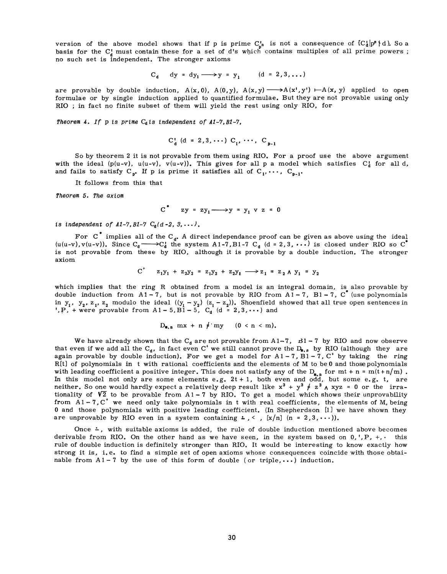version of the above model shows that if p is prime  $C_{n}^{r}$  is not a consequence of  ${C_{d}}|p^{n}$  a). So a basis for the  $C_d$  must contain these for a set of d's which contains multiples of all prime powers; no such set is independent. The stronger axioms

$$
C_d
$$
 dy = dy<sub>1</sub>  $\longrightarrow$  y = y<sub>1</sub> (d = 2,3,...)

are provable by double induction,  $A(x, 0)$ ,  $A(0, y)$ ,  $A(x, y) \longrightarrow A(x', y')$   $\longmapsto A(x, y)$  applied to open formulae or by single induction applied to quantified formulae. But they are not provable using only RIO ; in fact no finite subset of them will yield the rest using only RIO, for

Theorem 4. If p is prime  $C_d$  is independent of  $A1-7$ ,  $B1-7$ ,

$$
C_d
$$
 (d = 2,3,...)  $C_1$ ,  $\cdots$ ,  $C_{n-1}$ 

So by theorem 2 it is not provable from them using RIO. For a proof use the above argument with the ideal (p(u-v), u(u-v), v(u-v)). This gives for all p a model which satisfies  $C<sub>A</sub>$  for all d, and fails to satisfy  $C_{p}$ . If p is prime it satisfies all of  $C_{1}$ , ...,  $C_{p-1}$ .

It follows from this that

Theorem 5. The axiom

$$
C^* \quad zy = zy_1 \longrightarrow y = y_1 \lor z = 0
$$

is independent of  $A1-7$ ,  $B1-7$   $C<sub>a</sub>(d-2,3,...)$ .

For  $C^*$  implies all of the  $C_{d^*}$ . A direct independance proof can be given as above using the ideal (u(u-v), v(u-v)). Since  $C_d \longrightarrow C_d^+$  the system A1-7, B1-7  $C_d^-$  (d = 2, 3, ...) is closed under RIO so  $C^*$ is not provable from these by RIO, although it is provable by a double induction. The stronger axiom

C' 
$$
z_1y_1 + z_2y_2 = z_1y_2 + z_2y_1 \longrightarrow z_1 = z_2 \wedge y_1 = y_2
$$

which implies that the ring R obtained from a model is an integral domain, is also provable by double induction from A1-7, but is not provable by RIO from A1-7, B1-7, C<sup>\*</sup> (use polynomials in  $y_1$ ,  $y_2$ ,  $z_1$ ,  $z_2$  modulo the ideal  $((y_1 - y_2) (z_1 - z_2))$ . Shoenfield showed that all true open sentences in ',P, + were provable from  $A1 - 5$ ,  $B1 - 5$ ,  $C_d$  (d = 2,3,...) and

$$
D_{n,n} \, mx + n \neq my \quad (0 < n < m).
$$

We have already shown that the C<sub>d</sub> are not provable from  $A1-7$ ,  $B1-7$  by RIO and now observe that even if we add all the  $C_{d}$ , in fact even C<sup>+</sup> we still cannot prove the  $D_{n,d}$  by RIO (although they are again provable by double induction). For we get a model for  $A1-7$ ,  $B1-7$ ,  $C^*$  by taking the ring R[t] of polynomials in t with rational coefficients and the elements of M to be 0 and those polynomials with leading coefficient a positive integer. This does not satisfy any of the  $D_{n,n}$  for mt + n = m(t + n/m).<br>In this model not only are some elements e.g. 2t + 1, both even and odd, but some e.g. t, are neither. So one would hardly expect a relatively deep result like  $x^3 + y^3 \neq z^3$   $\wedge$  xyz = 0 or the irrationality of  $\sqrt{2}$  to be provable from A1-7 by RIO. To get a model which shows their unprovability from  $A1 - 7$ ,  $C^*$  we need only take polynomials in t with real coefficients, the elements of M, being 0 and those polynomials with positive leading coefficient. (In Shepherdson [1] we have shown they are unprovable by RIO even in a system containing  $\text{L}$ ,  $\lt$ ,  $[x/n]$  (n = 2,3,...)).

Once  $\div$ , with suitable axioms is added, the rule of double induction mentioned above becomes derivable from RIO. On the other hand as we have seen, in the system based on  $0, '$ ,  $P$ ,  $+$ ,  $\cdot$  this rule of double induction is definitely stronger than RIO. It would be interesting to know exactly how strong it is, i.e. to find a simple set of open axioms whose consequences coincide with those obtainable from  $A1 - 7$  by the use of this form of double (or triple, ...) induction.